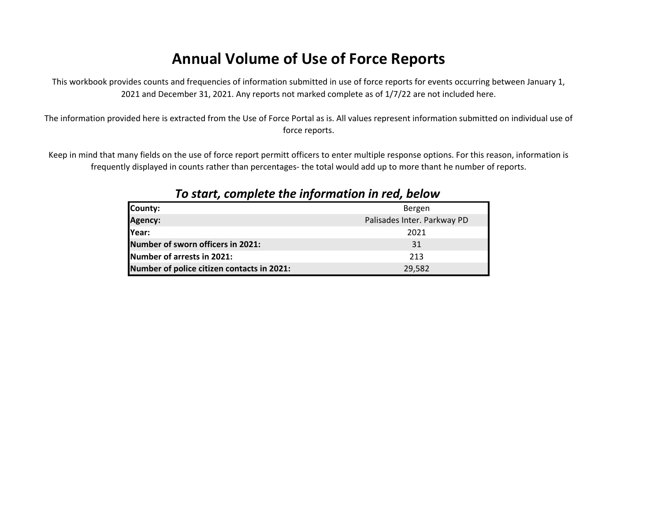# **Annual Volume of Use of Force Reports**

This workbook provides counts and frequencies of information submitted in use of force reports for events occurring between January 1, 2021 and December 31, 2021. Any reports not marked complete as of 1/7/22 are not included here.

The information provided here is extracted from the Use of Force Portal as is. All values represent information submitted on individual use of force reports.

Keep in mind that many fields on the use of force report permitt officers to enter multiple response options. For this reason, information is frequently displayed in counts rather than percentages- the total would add up to more thant he number of reports.

| County:                                    | Bergen                      |
|--------------------------------------------|-----------------------------|
| Agency:                                    | Palisades Inter. Parkway PD |
| Year:                                      | 2021                        |
| Number of sworn officers in 2021:          | 31                          |
| Number of arrests in 2021:                 | 213                         |
| Number of police citizen contacts in 2021: | 29,582                      |

### *To start, complete the information in red, below*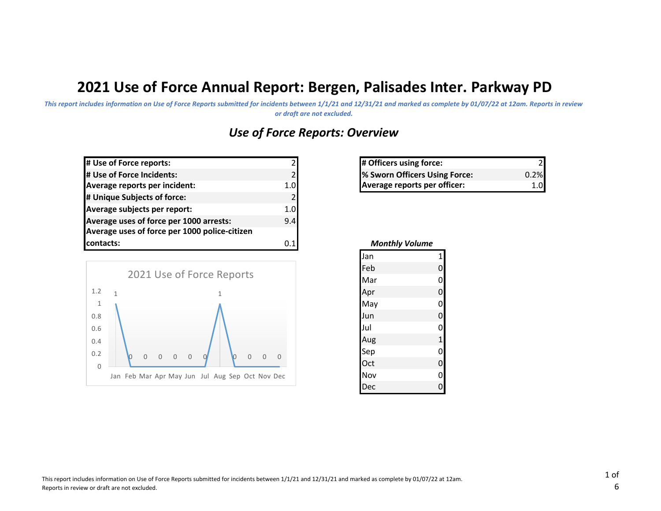# **2021 Use of Force Annual Report: Bergen, Palisades Inter. Parkway PD**

*This report includes information on Use of Force Reports submitted for incidents between 1/1/21 and 12/31/21 and marked as complete by 01/07/22 at 12am. Reports in review or draft are not excluded.*

## *Use of Force Reports: Overview*

| # Use of Force reports:                       |     |
|-----------------------------------------------|-----|
| # Use of Force Incidents:                     |     |
| Average reports per incident:                 | 1.0 |
| # Unique Subjects of force:                   | 21  |
| Average subjects per report:                  | 1.0 |
| Average uses of force per 1000 arrests:       | 9.4 |
| Average uses of force per 1000 police-citizen |     |
| contacts:                                     | 0.1 |



| $\mathsf{2}$   | # Officers using force:       |      |
|----------------|-------------------------------|------|
| $\overline{2}$ | % Sworn Officers Using Force: | 0.2% |
| ol             | Average reports per officer:  |      |

| <b>Monthly Volume</b> |                |  |
|-----------------------|----------------|--|
| Jan                   | 1              |  |
| Feb                   | $\overline{0}$ |  |
| Mar                   | 0              |  |
| Apr                   | $\mathbf{0}$   |  |
| May                   | 0              |  |
| Jun                   | $\mathbf{0}$   |  |
| Jul                   | 0              |  |
| Aug                   | $\mathbf{1}$   |  |
| Sep                   | $\mathbf{0}$   |  |
| Oct                   | 0              |  |
| Nov                   | $\overline{0}$ |  |
| Dec                   |                |  |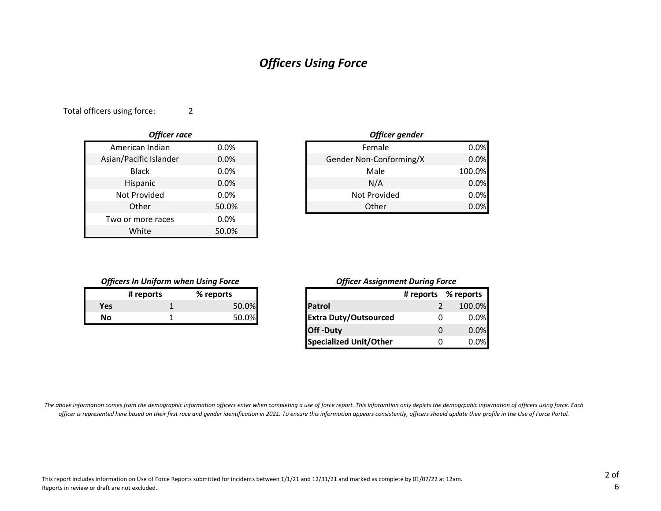### *Officers Using Force*

2 Total officers using force:

| <b>Officer race</b>    |       |
|------------------------|-------|
| American Indian        | 0.0%  |
| Asian/Pacific Islander | 0.0%  |
| Black                  | 0.0%  |
| Hispanic               | 0.0%  |
| Not Provided           | 0.0%  |
| Other                  | 50.0% |
| Two or more races      | 0.0%  |
| White                  | 50.0% |

|       | Officer gender          |        |
|-------|-------------------------|--------|
| 0.0%  | Female                  | 0.0%   |
| 0.0%  | Gender Non-Conforming/X | 0.0%   |
| 0.0%  | Male                    | 100.0% |
| 0.0%  | N/A                     | 0.0%   |
| 0.0%  | Not Provided            | 0.0%   |
| 50.0% | Other                   | 0.0%   |

#### *Officers In Uniform when Using Force*

|     | # reports | % reports |
|-----|-----------|-----------|
| Yes |           | 50.0%     |
| Nο  |           | 50.0%     |

#### *Officer Assignment During Force*

|           | # reports | % reports |
|-----------|-----------|-----------|
|           |           | 50.0%     |
| <b>No</b> |           | 50.0%     |
|           |           |           |
|           |           |           |

*The above information comes from the demographic information officers enter when completing a use of force report. This inforamtion only depicts the demogrpahic information of officers using force. Each officer is represented here based on their first race and gender identification in 2021. To ensure this information appears consistently, officers should update their profile in the Use of Force Portal.*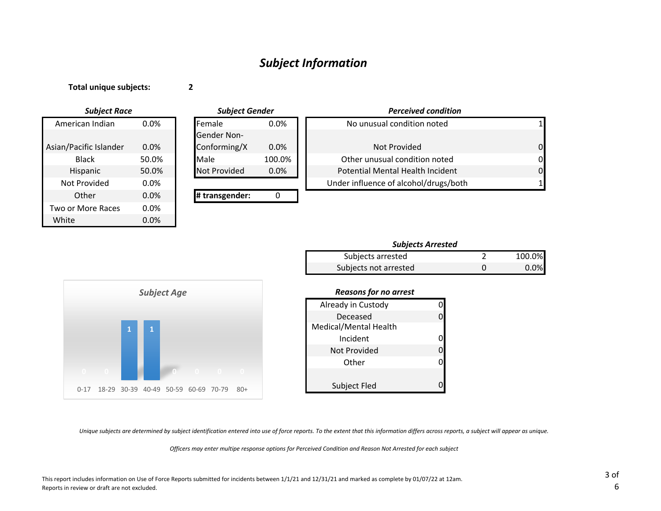### *Subject Information*

#### **Total unique subjects:**

**2**

0.0% 0.0% 0.0% White 0.0% Black American Indian Asian/Pacific Islander Two or More Races **Other** Not Provided Hispanic *Subject Race Subject Gender*

|         | <b>Subject Gender</b> |         | <b>Perceived condition</b>            |          |
|---------|-----------------------|---------|---------------------------------------|----------|
| $0.0\%$ | <b>IFemale</b>        | $0.0\%$ | No unusual condition noted            |          |
|         | <b>Gender Non-</b>    |         |                                       |          |
| 0.0%    | Conforming/X          | $0.0\%$ | Not Provided                          | $\Omega$ |
| 50.0%   | Male                  | 100.0%  | Other unusual condition noted         | $\Omega$ |
| 50.0%   | <b>Not Provided</b>   | $0.0\%$ | Potential Mental Health Incident      | $\Omega$ |
| 0.0%    |                       |         | Under influence of alcohol/drugs/both |          |
| 0.0%    | # transgender:        |         |                                       |          |

| Subjects arrested     | 100.0%  |
|-----------------------|---------|
| Subjects not arrested | $0.0\%$ |



#### *Reasons for no arrest*

| Already in Custody    |  |
|-----------------------|--|
| Deceased              |  |
| Medical/Mental Health |  |
| Incident              |  |
| Not Provided          |  |
| Other                 |  |
|                       |  |
| Subject Fled          |  |

*Unique subjects are determined by subject identification entered into use of force reports. To the extent that this information differs across reports, a subject will appear as unique.*

*Officers may enter multipe response options for Perceived Condition and Reason Not Arrested for each subject*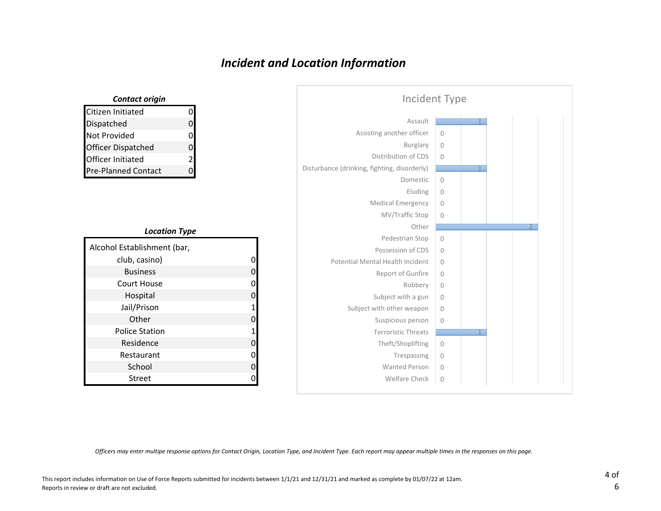## *Incident and Location Information*

| Incident Type                                |                |  |  |
|----------------------------------------------|----------------|--|--|
| Assault                                      |                |  |  |
| Assisting another officer                    | $\mathbf{0}$   |  |  |
| <b>Burglary</b>                              | $\mathbf{0}$   |  |  |
| Distribution of CDS                          | $\mathbf{0}$   |  |  |
| Disturbance (drinking, fighting, disorderly) |                |  |  |
| Domestic                                     | $\overline{0}$ |  |  |
| Eluding                                      | $\mathbb O$    |  |  |
| <b>Medical Emergency</b>                     | $\Omega$       |  |  |
| MV/Traffic Stop                              | $\mathbf{0}$   |  |  |
| Other                                        |                |  |  |
| Pedestrian Stop                              | $\mathbf 0$    |  |  |
| Possession of CDS                            | $\circ$        |  |  |
| Potential Mental Health Incident             | $\Omega$       |  |  |
| Report of Gunfire                            | $\mathbf{0}$   |  |  |
| Robbery                                      | $\mathbf{0}$   |  |  |
| Subject with a gun                           | $\mathbf{0}$   |  |  |
| Subject with other weapon                    | $\mathbf{0}$   |  |  |
| Suspicious person                            | $\mathbf{0}$   |  |  |
| <b>Terroristic Threats</b>                   |                |  |  |
| Theft/Shoplifting                            | $\mathbf 0$    |  |  |
| Trespassing                                  | $\mathbf{0}$   |  |  |
| <b>Wanted Person</b>                         | $\Omega$       |  |  |
| Welfare Check                                | $\mathbf 0$    |  |  |

| <b>Contact origin</b>      |                |
|----------------------------|----------------|
| Citizen Initiated          |                |
| Dispatched                 |                |
| Not Provided               | 0              |
| <b>Officer Dispatched</b>  | n              |
| Officer Initiated          | $\overline{2}$ |
| <b>Pre-Planned Contact</b> |                |

#### *Location Type*

| Alcohol Establishment (bar, |   |
|-----------------------------|---|
| club, casino)               | 0 |
| <b>Business</b>             | 0 |
| Court House                 | 0 |
| Hospital                    | 0 |
| Jail/Prison                 | 1 |
| Other                       | 0 |
| <b>Police Station</b>       | 1 |
| Residence                   | 0 |
| Restaurant                  | 0 |
| School                      | 0 |
| Street                      |   |

*Officers may enter multipe response options for Contact Origin, Location Type, and Incident Type. Each report may appear multiple times in the responses on this page.*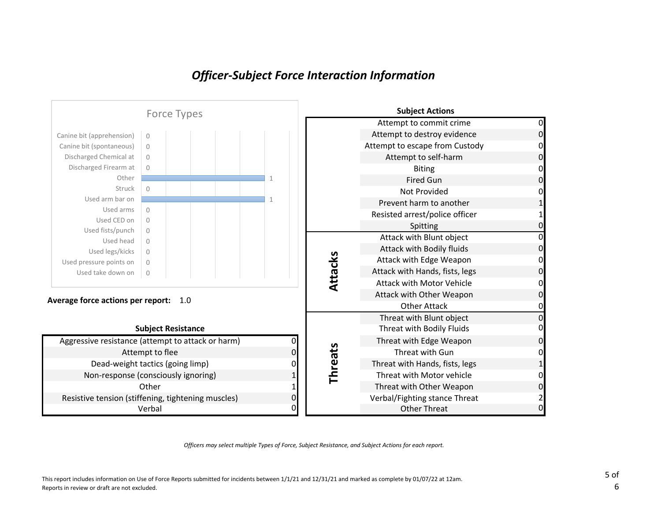### *Officer-Subject Force Interaction Information*